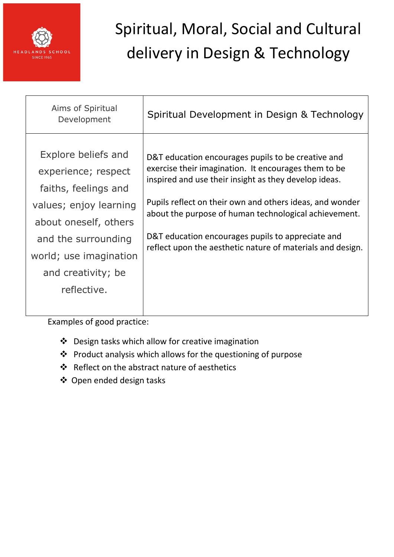

| Aims of Spiritual<br>Development                                                                                                                                                                            | Spiritual Development in Design & Technology                                                                                                                                                                                                                                                                                                                                                                |
|-------------------------------------------------------------------------------------------------------------------------------------------------------------------------------------------------------------|-------------------------------------------------------------------------------------------------------------------------------------------------------------------------------------------------------------------------------------------------------------------------------------------------------------------------------------------------------------------------------------------------------------|
| Explore beliefs and<br>experience; respect<br>faiths, feelings and<br>values; enjoy learning<br>about oneself, others<br>and the surrounding<br>world; use imagination<br>and creativity; be<br>reflective. | D&T education encourages pupils to be creative and<br>exercise their imagination. It encourages them to be<br>inspired and use their insight as they develop ideas.<br>Pupils reflect on their own and others ideas, and wonder<br>about the purpose of human technological achievement.<br>D&T education encourages pupils to appreciate and<br>reflect upon the aesthetic nature of materials and design. |
|                                                                                                                                                                                                             |                                                                                                                                                                                                                                                                                                                                                                                                             |

- Design tasks which allow for creative imagination
- Product analysis which allows for the questioning of purpose
- Reflect on the abstract nature of aesthetics
- Open ended design tasks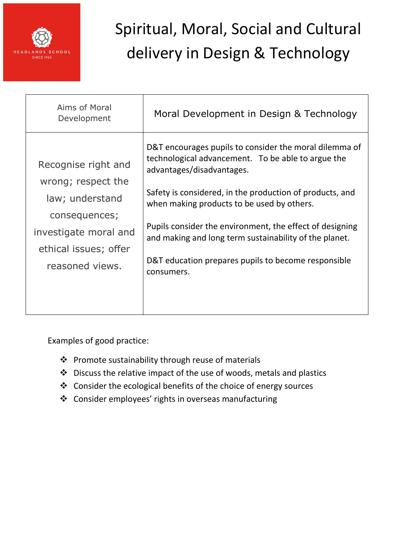

| Aims of Moral<br>Development                                                                                                                       | Moral Development in Design & Technology                                                                                                                                                                                                                                                                                                                                                                                                       |
|----------------------------------------------------------------------------------------------------------------------------------------------------|------------------------------------------------------------------------------------------------------------------------------------------------------------------------------------------------------------------------------------------------------------------------------------------------------------------------------------------------------------------------------------------------------------------------------------------------|
| Recognise right and<br>wrong; respect the<br>law; understand<br>consequences;<br>investigate moral and<br>ethical issues; offer<br>reasoned views. | D&T encourages pupils to consider the moral dilemma of<br>technological advancement. To be able to argue the<br>advantages/disadvantages.<br>Safety is considered, in the production of products, and<br>when making products to be used by others.<br>Pupils consider the environment, the effect of designing<br>and making and long term sustainability of the planet.<br>D&T education prepares pupils to become responsible<br>consumers. |

- Promote sustainability through reuse of materials
- Discuss the relative impact of the use of woods, metals and plastics
- Consider the ecological benefits of the choice of energy sources
- Consider employees' rights in overseas manufacturing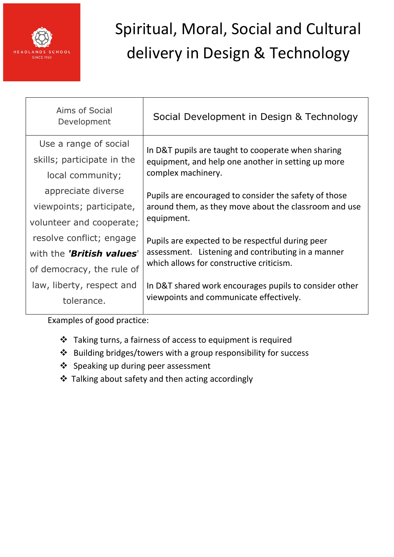

| Aims of Social<br>Development    | Social Development in Design & Technology                                                                                                          |
|----------------------------------|----------------------------------------------------------------------------------------------------------------------------------------------------|
| Use a range of social            | In D&T pupils are taught to cooperate when sharing<br>equipment, and help one another in setting up more<br>complex machinery.                     |
| skills; participate in the       |                                                                                                                                                    |
| local community;                 |                                                                                                                                                    |
| appreciate diverse               | Pupils are encouraged to consider the safety of those<br>around them, as they move about the classroom and use<br>equipment.                       |
| viewpoints; participate,         |                                                                                                                                                    |
| volunteer and cooperate;         |                                                                                                                                                    |
| resolve conflict; engage         | Pupils are expected to be respectful during peer<br>assessment. Listening and contributing in a manner<br>which allows for constructive criticism. |
| with the <b>'British values'</b> |                                                                                                                                                    |
| of democracy, the rule of        |                                                                                                                                                    |
| law, liberty, respect and        | In D&T shared work encourages pupils to consider other<br>viewpoints and communicate effectively.                                                  |
| tolerance.                       |                                                                                                                                                    |
|                                  |                                                                                                                                                    |

- \* Taking turns, a fairness of access to equipment is required
- Building bridges/towers with a group responsibility for success
- Speaking up during peer assessment
- Talking about safety and then acting accordingly